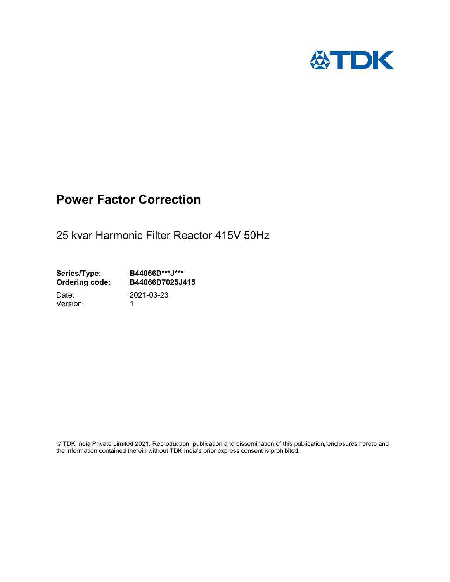

## Power Factor Correction

25 kvar Harmonic Filter Reactor 415V 50Hz

Series/Type: B44066D\*\*\*J\*\*\*<br>Ordering code: B44066D7025J4 B44066D7025J415

Version: 1

Date: 2021-03-23

 TDK India Private Limited 2021. Reproduction, publication and dissemination of this publication, enclosures hereto and the information contained therein without TDK India's prior express consent is prohibited.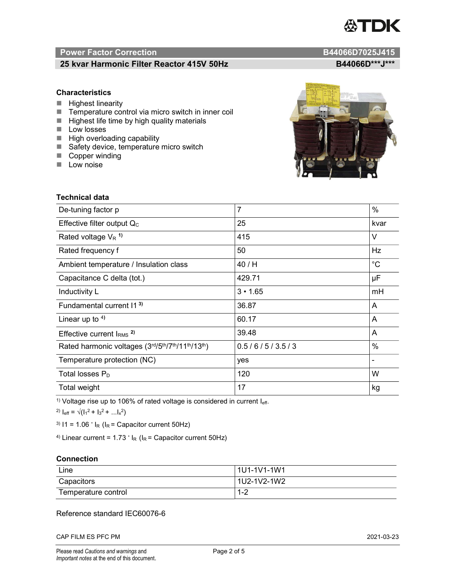# TDK

### Power Factor Correction and B44066D7025J415

### 25 kvar Harmonic Filter Reactor 415V 50Hz<br>B44066D\*\*\*J\*\*\*

#### **Characteristics**

- $\blacksquare$  Highest linearity
- Temperature control via micro switch in inner coil
- $\blacksquare$  Highest life time by high quality materials
- **Low losses**
- $\blacksquare$  High overloading capability
- Safety device, temperature micro switch
- Copper winding
- **Low noise**

| Technical data                                  |                |             |  |
|-------------------------------------------------|----------------|-------------|--|
| De-tuning factor p                              | $\overline{7}$ | %           |  |
| Effective filter output $Q_C$                   | 25             | kvar        |  |
| Rated voltage $V_R$ <sup>1)</sup>               | 415            | V           |  |
| Rated frequency f                               | 50             | Hz          |  |
| Ambient temperature / Insulation class          | 40/H           | $^{\circ}C$ |  |
| Capacitance C delta (tot.)                      | 429.71         | μF          |  |
| Inductivity L                                   | $3 \cdot 1.65$ | mH          |  |
| Fundamental current 11 <sup>3)</sup>            | 36.87          | A           |  |
| Linear up to $4$ )                              | 60.17          | A           |  |
| Effective current $IRMS$ <sup>2)</sup>          | 39.48          | A           |  |
| Rated harmonic voltages (3rd/5th/7th/11th/13th) | 0.5/6/5/3.5/3  | %           |  |
| Temperature protection (NC)                     | yes            |             |  |
| Total losses $P_D$                              | 120            | W           |  |
| Total weight                                    | 17             | kg          |  |

<sup>1)</sup> Voltage rise up to 106% of rated voltage is considered in current  $I_{\text{eff}}$ .

<sup>2)</sup>  $I_{eff} = \sqrt{(I_1^2 + I_3^2 + ... I_x^2)}$ 

<sup>3)</sup>  $11 = 1.06$   $\cdot$   $I_R$  ( $I_R$  = Capacitor current 50Hz)

<sup>4)</sup> Linear current =  $1.73$   $\cdot$  I<sub>R</sub> (I<sub>R</sub> = Capacitor current 50Hz)

#### **Connection**

| Line                | 1U1-1V1-1W1                    |
|---------------------|--------------------------------|
| Capacitors          | l 1U2-1V2-1W2                  |
| Temperature control | ⌒<br>$\overline{ }$<br>$1 - 2$ |

#### Reference standard IEC60076-6

CAP FILM ES PFC PM 2021-03-23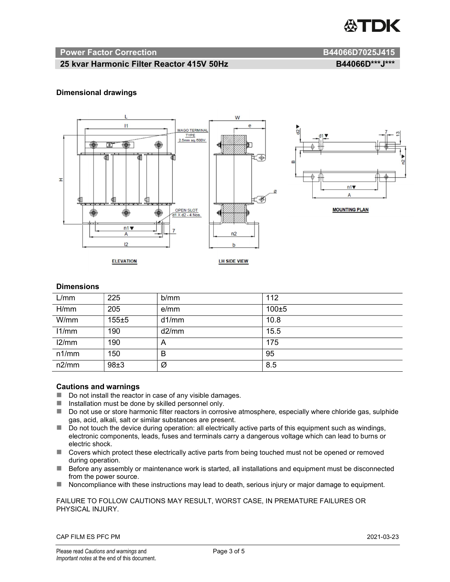

#### Power Factor Correction and B44066D7025J415

#### 25 kvar Harmonic Filter Reactor 415V 50Hz B44066D\*\*\*J\*\*\*

#### Dimensional drawings



#### **Dimensions**

| L/mm  | 225       | b/mm  | 112   |
|-------|-----------|-------|-------|
| H/mm  | 205       | e/mm  | 100±5 |
| W/mm  | $155 + 5$ | d1/mm | 10.8  |
| 11/mm | 190       | d2/mm | 15.5  |
| 12/mm | 190       | A     | 175   |
| n1/mm | 150       | B     | 95    |
| n2/mm | 98±3      | Ø     | 8.5   |

#### Cautions and warnings

- Do not install the reactor in case of any visible damages.
- $\blacksquare$  Installation must be done by skilled personnel only.
- Do not use or store harmonic filter reactors in corrosive atmosphere, especially where chloride gas, sulphide gas, acid, alkali, salt or similar substances are present.
- Do not touch the device during operation: all electrically active parts of this equipment such as windings, electronic components, leads, fuses and terminals carry a dangerous voltage which can lead to burns or electric shock.
- Covers which protect these electrically active parts from being touched must not be opened or removed during operation.
- Before any assembly or maintenance work is started, all installations and equipment must be disconnected from the power source.
- Noncompliance with these instructions may lead to death, serious injury or major damage to equipment.

FAILURE TO FOLLOW CAUTIONS MAY RESULT, WORST CASE, IN PREMATURE FAILURES OR PHYSICAL INJURY.

CAP FILM ES PFC PM 2021-03-23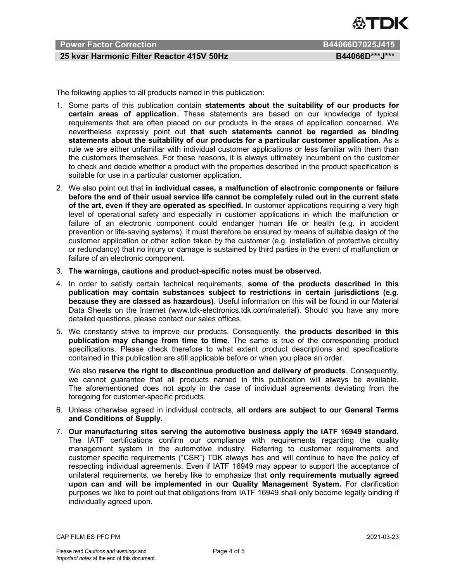

### Power Factor Correction **B44066D7025J415**

#### 25 kvar Harmonic Filter Reactor 415V 50Hz B44066D\*\*\*J\*\*\*

The following applies to all products named in this publication:

- 1. Some parts of this publication contain statements about the suitability of our products for certain areas of application. These statements are based on our knowledge of typical requirements that are often placed on our products in the areas of application concerned. We nevertheless expressly point out that such statements cannot be regarded as binding statements about the suitability of our products for a particular customer application. As a rule we are either unfamiliar with individual customer applications or less familiar with them than the customers themselves. For these reasons, it is always ultimately incumbent on the customer to check and decide whether a product with the properties described in the product specification is suitable for use in a particular customer application.
- 2. We also point out that in individual cases, a malfunction of electronic components or failure before the end of their usual service life cannot be completely ruled out in the current state of the art, even if they are operated as specified. In customer applications requiring a very high level of operational safety and especially in customer applications in which the malfunction or failure of an electronic component could endanger human life or health (e.g. in accident prevention or life-saving systems), it must therefore be ensured by means of suitable design of the customer application or other action taken by the customer (e.g. installation of protective circuitry or redundancy) that no injury or damage is sustained by third parties in the event of malfunction or failure of an electronic component.
- 3. The warnings, cautions and product-specific notes must be observed.
- 4. In order to satisfy certain technical requirements, some of the products described in this publication may contain substances subject to restrictions in certain jurisdictions (e.g. because they are classed as hazardous). Useful information on this will be found in our Material Data Sheets on the Internet (www.tdk-electronics.tdk.com/material). Should you have any more detailed questions, please contact our sales offices.
- 5. We constantly strive to improve our products. Consequently, the products described in this publication may change from time to time. The same is true of the corresponding product specifications. Please check therefore to what extent product descriptions and specifications contained in this publication are still applicable before or when you place an order.

We also reserve the right to discontinue production and delivery of products. Consequently, we cannot guarantee that all products named in this publication will always be available. The aforementioned does not apply in the case of individual agreements deviating from the foregoing for customer-specific products.

- 6. Unless otherwise agreed in individual contracts, all orders are subject to our General Terms and Conditions of Supply.
- 7. Our manufacturing sites serving the automotive business apply the IATF 16949 standard. The IATF certifications confirm our compliance with requirements regarding the quality management system in the automotive industry. Referring to customer requirements and customer specific requirements ("CSR") TDK always has and will continue to have the policy of respecting individual agreements. Even if IATF 16949 may appear to support the acceptance of unilateral requirements, we hereby like to emphasize that only requirements mutually agreed upon can and will be implemented in our Quality Management System. For clarification purposes we like to point out that obligations from IATF 16949 shall only become legally binding if individually agreed upon.